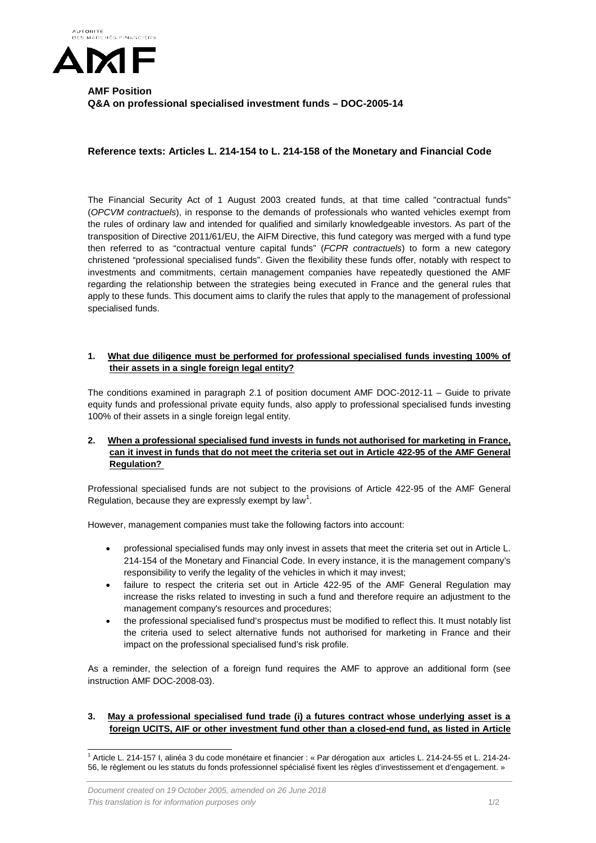

**AMF Position Q&A on professional specialised investment funds – DOC-2005-14**

## **Reference texts: Articles L. 214-154 to L. 214-158 of the Monetary and Financial Code**

The Financial Security Act of 1 August 2003 created funds, at that time called "contractual funds" (*OPCVM contractuels*), in response to the demands of professionals who wanted vehicles exempt from the rules of ordinary law and intended for qualified and similarly knowledgeable investors. As part of the transposition of Directive 2011/61/EU, the AIFM Directive, this fund category was merged with a fund type then referred to as "contractual venture capital funds" (*FCPR contractuels*) to form a new category christened "professional specialised funds". Given the flexibility these funds offer, notably with respect to investments and commitments, certain management companies have repeatedly questioned the AMF regarding the relationship between the strategies being executed in France and the general rules that apply to these funds. This document aims to clarify the rules that apply to the management of professional specialised funds.

#### **1. What due diligence must be performed for professional specialised funds investing 100% of their assets in a single foreign legal entity?**

The conditions examined in paragraph 2.1 of position document AMF DOC-2012-11 – Guide to private equity funds and professional private equity funds, also apply to professional specialised funds investing 100% of their assets in a single foreign legal entity.

# **2. When a professional specialised fund invests in funds not authorised for marketing in France, can it invest in funds that do not meet the criteria set out in Article 422-95 of the AMF General Regulation?**

Professional specialised funds are not subject to the provisions of Article 422-95 of the AMF General Regulation, because they are expressly exempt by law<sup>[1](#page-0-0)</sup>.

However, management companies must take the following factors into account:

- professional specialised funds may only invest in assets that meet the criteria set out in Article L. 214-154 of the Monetary and Financial Code. In every instance, it is the management company's responsibility to verify the legality of the vehicles in which it may invest;
- failure to respect the criteria set out in Article 422-95 of the AMF General Regulation may increase the risks related to investing in such a fund and therefore require an adjustment to the management company's resources and procedures;
- the professional specialised fund's prospectus must be modified to reflect this. It must notably list the criteria used to select alternative funds not authorised for marketing in France and their impact on the professional specialised fund's risk profile.

As a reminder, the selection of a foreign fund requires the AMF to approve an additional form (see instruction AMF DOC-2008-03).

#### **3. May a professional specialised fund trade (i) a futures contract whose underlying asset is a foreign UCITS, AIF or other investment fund other than a closed-end fund, as listed in Article**

<span id="page-0-0"></span> <sup>1</sup> Article L. 214-157 I, alinéa 3 du code monétaire et financier : « Par dérogation aux articles L. 214-24-55 et L. 214-24- 56, le règlement ou les statuts du fonds professionnel spécialisé fixent les règles d'investissement et d'engagement. »